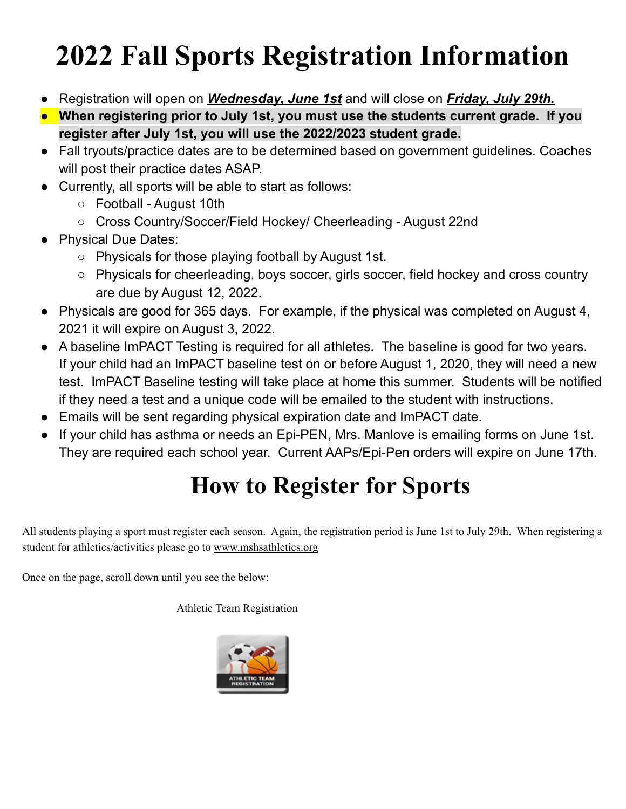## **2022 Fall Sports Registration Information**

- Registration will open on *Wednesday, June 1st* and will close on *Friday, July 29th.*
- **● When registering prior to July 1st, you must use the students current grade. If you register after July 1st, you will use the 2022/2023 student grade.**
- Fall tryouts/practice dates are to be determined based on government guidelines. Coaches will post their practice dates ASAP.
- Currently, all sports will be able to start as follows:
	- Football August 10th
	- Cross Country/Soccer/Field Hockey/ Cheerleading August 22nd
- Physical Due Dates:
	- Physicals for those playing football by August 1st.
	- Physicals for cheerleading, boys soccer, girls soccer, field hockey and cross country are due by August 12, 2022.
- Physicals are good for 365 days. For example, if the physical was completed on August 4, 2021 it will expire on August 3, 2022.
- A baseline ImPACT Testing is required for all athletes. The baseline is good for two years. If your child had an ImPACT baseline test on or before August 1, 2020, they will need a new test. ImPACT Baseline testing will take place at home this summer. Students will be notified if they need a test and a unique code will be emailed to the student with instructions.
- Emails will be sent regarding physical expiration date and ImPACT date.
- If your child has asthma or needs an Epi-PEN, Mrs. Manlove is emailing forms on June 1st. They are required each school year. Current AAPs/Epi-Pen orders will expire on June 17th.

## **How to Register for Sports**

All students playing a sport must register each season. Again, the registration period is June 1st to July 29th. When registering a student for athletics/activities please go to [www.mshsathletics.org](http://www.mshsathletics.org/)

Once on the page, scroll down until you see the below:

Athletic Team Registration